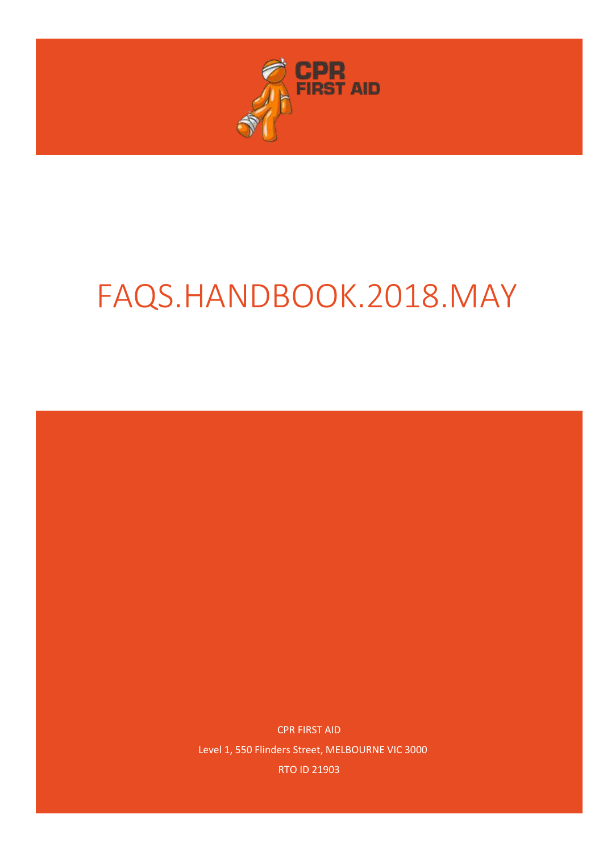

# FAQS.HANDBOOK.2018.MAY

CPR FIRST AID Level 1, 550 Flinders Street, MELBOURNE VIC 3000 RTO ID 21903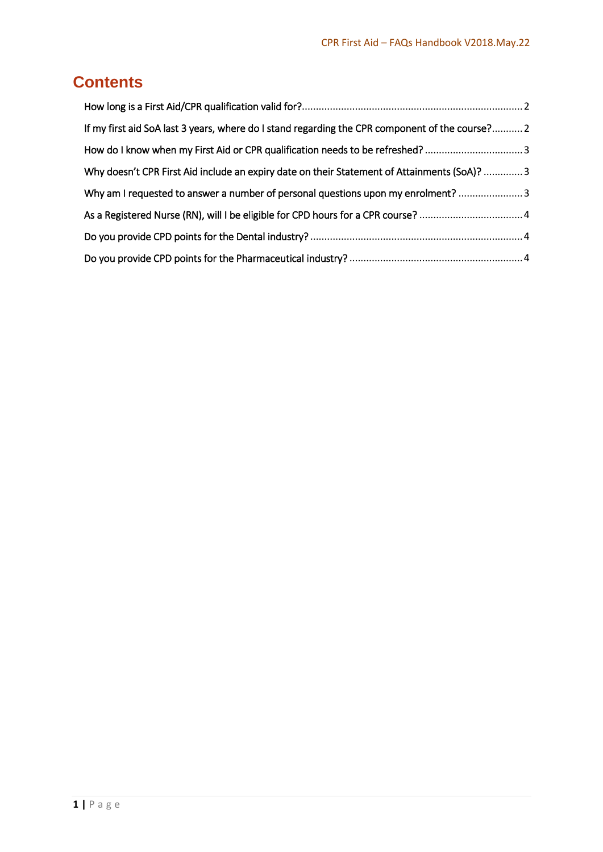## **Contents**

| If my first aid SoA last 3 years, where do I stand regarding the CPR component of the course? 2 |  |
|-------------------------------------------------------------------------------------------------|--|
| How do I know when my First Aid or CPR qualification needs to be refreshed?3                    |  |
| Why doesn't CPR First Aid include an expiry date on their Statement of Attainments (SoA)?  3    |  |
| Why am I requested to answer a number of personal questions upon my enrolment?                  |  |
|                                                                                                 |  |
|                                                                                                 |  |
|                                                                                                 |  |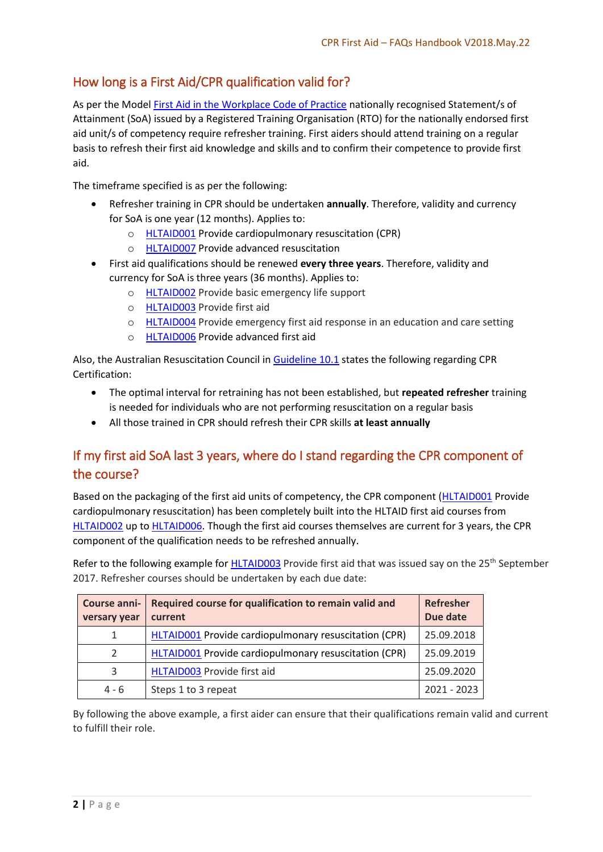#### <span id="page-2-0"></span>How long is a First Aid/CPR qualification valid for?

As per the Mode[l First Aid in the Workplace Code of Practice](https://www.safeworkaustralia.gov.au/system/files/documents/1705/mcop-first-aid-in-workplace-v3.pdf) nationally recognised Statement/s of Attainment (SoA) issued by a Registered Training Organisation (RTO) for the nationally endorsed first aid unit/s of competency require refresher training. First aiders should attend training on a regular basis to refresh their first aid knowledge and skills and to confirm their competence to provide first aid.

The timeframe specified is as per the following:

- Refresher training in CPR should be undertaken **annually**. Therefore, validity and currency for SoA is one year (12 months). Applies to:
	- o [HLTAID001](http://training.gov.au/Training/Details/HLTAID001) Provide cardiopulmonary resuscitation (CPR)
	- o [HLTAID007](http://training.gov.au/Training/Details/HLTAID007) Provide advanced resuscitation
- First aid qualifications should be renewed **every three years**. Therefore, validity and currency for SoA is three years (36 months). Applies to:
	- o [HLTAID002](http://training.gov.au/Training/Details/HLTAID002) Provide basic emergency life support
	- o [HLTAID003](http://training.gov.au/Training/Details/HLTAID003) Provide first aid
	- o [HLTAID004](http://training.gov.au/Training/Details/HLTAID004) Provide emergency first aid response in an education and care setting
	- o [HLTAID006](http://training.gov.au/Training/Details/HLTAID006) Provide advanced first aid

Also, the Australian Resuscitation Council in [Guideline 10.1](https://resus.org.au/guidelines/) states the following regarding CPR Certification:

- The optimal interval for retraining has not been established, but **repeated refresher** training is needed for individuals who are not performing resuscitation on a regular basis
- All those trained in CPR should refresh their CPR skills **at least annually**

### <span id="page-2-1"></span>If my first aid SoA last 3 years, where do I stand regarding the CPR component of the course?

Based on the packaging of the first aid units of competency, the CPR component [\(HLTAID001](http://training.gov.au/Training/Details/HLTAID001) Provide cardiopulmonary resuscitation) has been completely built into the HLTAID first aid courses from [HLTAID002](http://training.gov.au/Training/Details/HLTAID002) up to [HLTAID006.](http://training.gov.au/Training/Details/HLTAID006) Though the first aid courses themselves are current for 3 years, the CPR component of the qualification needs to be refreshed annually.

Refer to the following example for [HLTAID003](http://training.gov.au/Training/Details/HLTAID003) Provide first aid that was issued say on the 25<sup>th</sup> September 2017. Refresher courses should be undertaken by each due date:

| Course anni-<br>versary year | Required course for qualification to remain valid and<br>current | Refresher<br>Due date |
|------------------------------|------------------------------------------------------------------|-----------------------|
| $\mathbf{1}$                 | HLTAID001 Provide cardiopulmonary resuscitation (CPR)            | 25.09.2018            |
| 2                            | HLTAID001 Provide cardiopulmonary resuscitation (CPR)            | 25.09.2019            |
| 3                            | HLTAID003 Provide first aid                                      | 25.09.2020            |
| $4 - 6$                      | Steps 1 to 3 repeat                                              | $2021 - 2023$         |

By following the above example, a first aider can ensure that their qualifications remain valid and current to fulfill their role.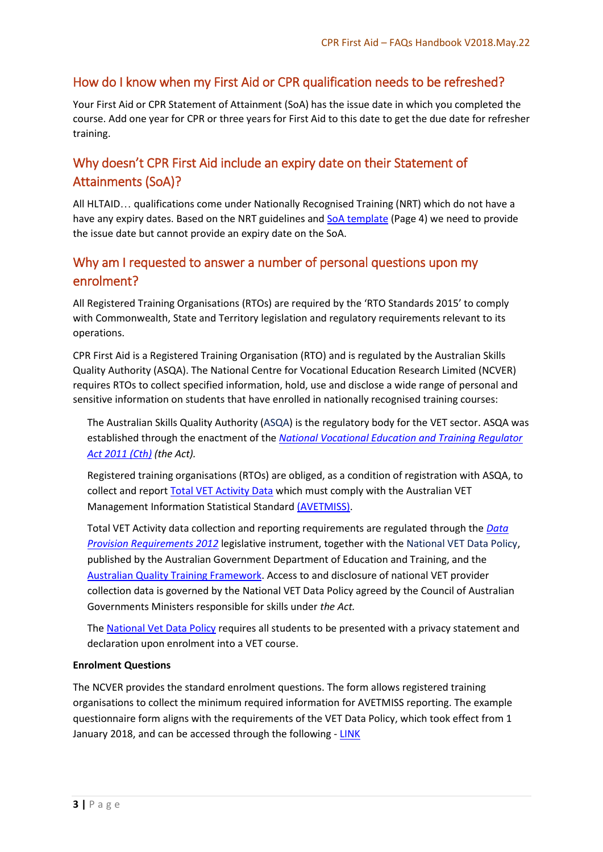#### <span id="page-3-0"></span>How do I know when my First Aid or CPR qualification needs to be refreshed?

Your First Aid or CPR Statement of Attainment (SoA) has the issue date in which you completed the course. Add one year for CPR or three years for First Aid to this date to get the due date for refresher training.

#### <span id="page-3-1"></span>Why doesn't CPR First Aid include an expiry date on their Statement of Attainments (SoA)?

All HLTAID… qualifications come under Nationally Recognised Training (NRT) which do not have a have any expiry dates. Based on the NRT guidelines and [SoA template](https://www.asqa.gov.au/sites/g/files/net2166/f/Fact_sheet_-_Sample_AQF_documentation.pdf) (Page 4) we need to provide the issue date but cannot provide an expiry date on the SoA.

#### <span id="page-3-2"></span>Why am I requested to answer a number of personal questions upon my enrolment?

All Registered Training Organisations (RTOs) are required by the 'RTO Standards 2015' to comply with Commonwealth, State and Territory legislation and regulatory requirements relevant to its operations.

CPR First Aid is a Registered Training Organisation (RTO) and is regulated by the Australian Skills Quality Authority (ASQA). The National Centre for Vocational Education Research Limited (NCVER) requires RTOs to collect specified information, hold, use and disclose a wide range of personal and sensitive information on students that have enrolled in nationally recognised training courses:

The Australian Skills Quality Authority [\(ASQA\)](https://www.asqa.gov.au/vet-registration) is the regulatory body for the VET sector. ASQA was established through the enactment of the *[National Vocational Education and Training Regulator](https://www.legislation.gov.au/Details/C2017C00009)  [Act 2011 \(Cth\)](https://www.legislation.gov.au/Details/C2017C00009) (the Act).*

Registered training organisations (RTOs) are obliged, as a condition of registration with ASQA, to collect and report [Total VET Activity Data](https://www.asqa.gov.au/vet-registration/meet-data-provision-requirements/total-vet-activity-reporting) which must comply with the Australian VET Management Information Statistical Standard [\(AVETMISS\).](https://www.ncver.edu.au/support/topics/avetmiss/what-is-avetmiss)

Total VET Activity data collection and reporting requirements are regulated through the *[Data](https://www.legislation.gov.au/Details/F2013C00497)  [Provision Requirements 2012](https://www.legislation.gov.au/Details/F2013C00497)* legislative instrument, together with the [National VET Data Policy,](https://www.education.gov.au/national-vet-data-policy-0) published by the Australian Government Department of Education and Training, and the [Australian Quality Training Framework.](http://www.ivet.com.au/a/184.html) Access to and disclosure of national VET provider collection data is governed by the National VET Data Policy agreed by the Council of Australian Governments Ministers responsible for skills under *the Act.*

The [National Vet Data Policy](https://www.education.gov.au/national-vet-data-policy-0) requires all students to be presented with a privacy statement and declaration upon enrolment into a VET course.

#### **Enrolment Questions**

The NCVER provides the standard enrolment questions. The form allows registered training organisations to collect the minimum required information for AVETMISS reporting. The example questionnaire form aligns with the requirements of the VET Data Policy, which took effect from 1 January 2018, and can be accessed through the following - [LINK](https://www.ncver.edu.au/publications/publications/all-publications/statistical-standard-software/standard-enrolment-questions-example-forms)